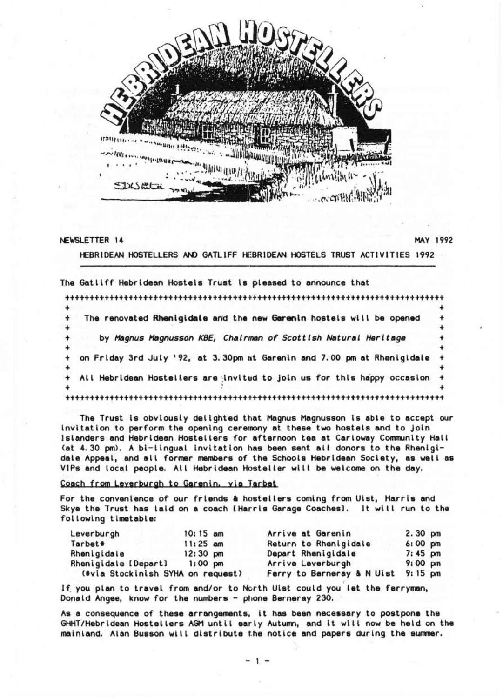

# ~WSLETTER 1 4 MAY 1992

# HEBRIDEAN HOSTELLERS AND GATLIFF HEBRIDEAN HOSTELS TRUST ACTIVITIES 1992

The Gatliff Hebridean Hostels Trust is pleased to announce that +++++ttH+t+++ttt++tt+++++++++HttHt++t+++++tt++ttt++tt+++++++t++t+HHt+tH + + The renovated Rhenlgidale and the new Garenin hostels will be opened by *Magnus Magnusson KBE, Chairman of Scottish Natural Heritage*  $+$  the state of the state of the state of the state of the state of the state of the state of the state of the state of the state of the state of the state of the state of the state of the state of the state of the state on Friday 3rd July '92, at 3.30pm at Garenin and 7.00 pm at Rhenigidale  $+$  the state of the state of the state of the state of the state of the state of the state of the state of the state of the state of the state of the state of the state of the state of the state of the state of the state All Hebridean Hostellers are invited to join us for this happy occasion tttttttttttttttt+tttttttttttt+ttttttt+ttttttttttttttttttttttttttttttttttttttt

The Trust Is obviously delighted that Magnus Magnusson is able to accept our Invitation to perform the opening cerernony at these two hostels and to Join Islanders and Hebridean Hostellers for afternoon tea at CarLoway Community Hall (at 4.30 pm). A bi-Lingual Invitation has been sent all donors to the Rhenlgidale Appeal, and all former members of the Schools Hebrldean SOCiety, as well as VIPs and local people. All Hebridean Hosteller will be welcome on the day.

## Coach from Leverburgh to Garenin, yia Tarbet

For the convenience of our friends & hostellers coming from Uist, Harris and Skye the Trust has laId on a coach [Harris Garage Coaches]. It will run to the following timetable:

| Leverburgh                        | 10:15 am   | Arrive at Garenin          | $2.30 \text{ pm}$ |
|-----------------------------------|------------|----------------------------|-------------------|
| Tarbet*                           | $11:25$ am | Return to Rhenigidale      | $6:00$ pm         |
| Rhenigidale                       | 12:30 pm   | Depart Rhenigidale         | 7:45 pm           |
| Rhenigidale [Depart]              | $1:00$ pm  | Arrive Leverburgh          | $9:00$ pm         |
| (*via Stockinish SYHA on request) |            | Ferry to Berneray & N Uist | $9:15$ pm         |

If you plan to travel from and/or to North Uist could you let the ferryman, Donald Angee. know for the numbers - phone Berneray 230.

As a consequence of these arrangements, It has been necessary to postpone the GHHT/Hebridean Hostellers AGM until early Autumn, and it will now be held on the mainland. Alan Busson will distribute the notice and papers during the summer.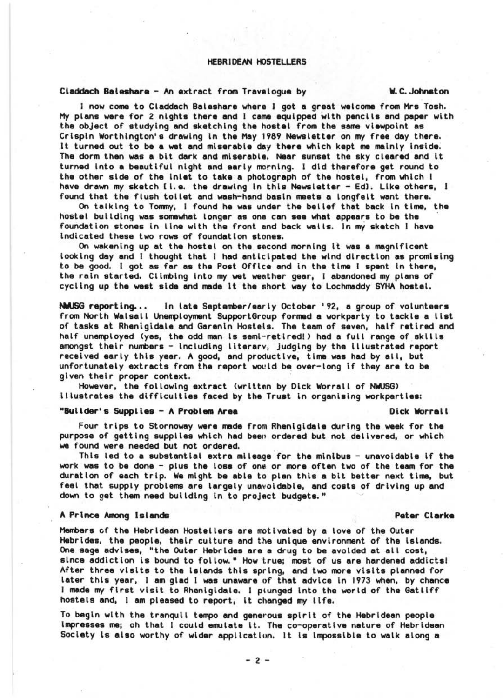# Claddach Baleshare - An extract from Travelogue by W.C.Johnston

I now come to Claddach Baleshare where I got a great welcome from Mrs Tosh. My plans were for 2 nights there and I came equipped with pencils and paper with the object of studying and sketching the hostel from the same viewpoint as Crispin Worthington's drawing In the May 1989 Newsletter on my free day there. It turned out to be a wet and miserable day there which kept me mainly inside. The dorm then was a bit dark and miserable. Near sunset the sky cleared and It turned Into a beautiful night and early morning. 1 did therefore get round to the other side of the Inlet to take a photograph of the hostel, from which I have drawn my sketch [ i.e. the drawing in this Newsletter - Ed]. Like others, I found that the flush toilet and wash-hand basin meets a longfelt want there.

On talking to Tommy, I found he was under the belief that back In time, the hostei building was somewhat longer as one can see what appears to be the foundation stones in line with the front and back walls. In my sketch I have Indicated these two rows of foundation stones.

On wakening up at the hostel on the second morning it was a magnificent looking day and I thought that I had anticipated the wind direction as promising to be good. I got as far as the Post Office and in the time I spent in there, the rain started. CLimbing Into my wet weather gear, I abandoned my plans of cycling up the west side and made It the nhort way to Lochmaddy SYHA hostel.

NWUSG reporting... In late September/early October '92, a group of volunteers from North Walsall Unemployment SupportGroup formed a workparty to tackle a list of tasks at Rhenigldale and Garenln Hostels. The team of seven, half retired and half unemployed (yes, the odd man is semi-retired!) had a full range of skills amongst their numbers - Including Iiterarv, Judging by the Illustrated report received early this year. A good, and productive; time was had by all, but unfortunately extracts from the report would be over-long if they are to be given their proper context.

However, the following extract (written by Dick Worrall of NWUSG) Illustrates the difficulties faced by the Trust in organising workparties:

#### NBuilder's SUpplies - A Problem Area Dick Worrall

Four trips to Stornoway were made from Rhenlgldale during the week for the purpose of getting supplies which had been ordered but not delivered, or which<br>we found were needed but not ordered.

This led to a substantial extra mileage for the minibus - unavoidable if the work was to be done - plus the loss of one or more often two of the team for the duration of each trip. We might be able to plan this a bit better next time, but feel that supply problems are largely unavoidable, and costs of driving up and down to get them need building In to proJect budgets."

## A Prince Among Islands **Peter Clarke**

Members of the Hebridean Hostellers are motivated by a love of the Outer<br>Hebrides, the people, their culture and the unique environment of the islands. One sage advises, "the Outer Hebrides are a drug to be avoided at all cost, since addiction is bound to follow." How true; most of us are hardened addicts! After three visits to the lslands this spring, and two more visits planned for later this year, 1 am glad I was unaware of that advice In 1973 when, by chance I made my first visit to Rhenlgldale. I plUnged Into the world of the GatlIff hostels and, I am pleased to report, it changed my life.

To begin with the tranquil tempo and generous spirit of the Hebridean people Impresses me, oh that I could emulate It. The co-operative nature of Hebrldean Society is also worthy of wider application. It is impossible to walk along a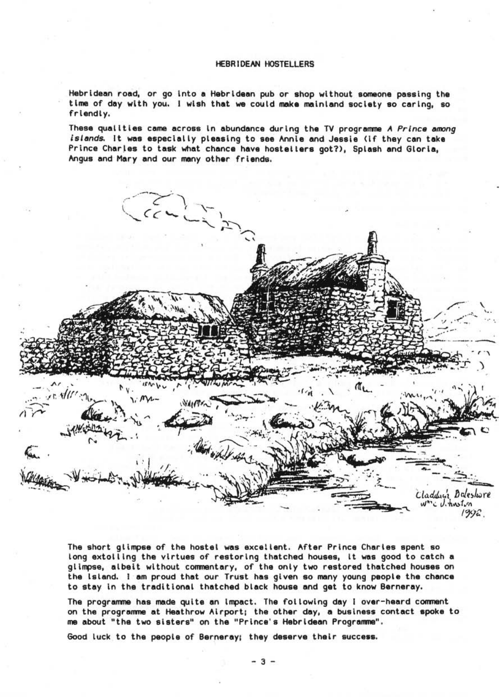#### HEBRIDEAN HOSTELLERS

Hebrldean road. or go Into a Hebrldean pub or shop without someone passing the time of day with you. I wish that we could make mainland society so caring. so friendly.

These qualities came across In abundance during the TV programme A *Prince among*  islands. It was especially pleasing to soe Annie and Jessie (if they can take Prince Charles to task what chance have hostellers got?). Splash and Gloria. Angus and Mary and our many other friends.



The short glimpse of the hostel was excellent. After Prince Charles spent so long extolling the virtues of restor Ing thatched houses. I t was good to catch a glimpse. albeit without commentary. of the only two restored thatched houses on the Island. I am proud that our Trust has given so many young people the chance to stay in the traditional thatched black house and get to know Berneray.

The programme has made quite an Impact. The following day I over-heard comment on the programme at Heathrow Airport; the other day. a business contact spoke to me about "the two sisters" on the "Prince's Hebrldean Progranma" .

Good luck to the people of Berneray; they deserve their success.